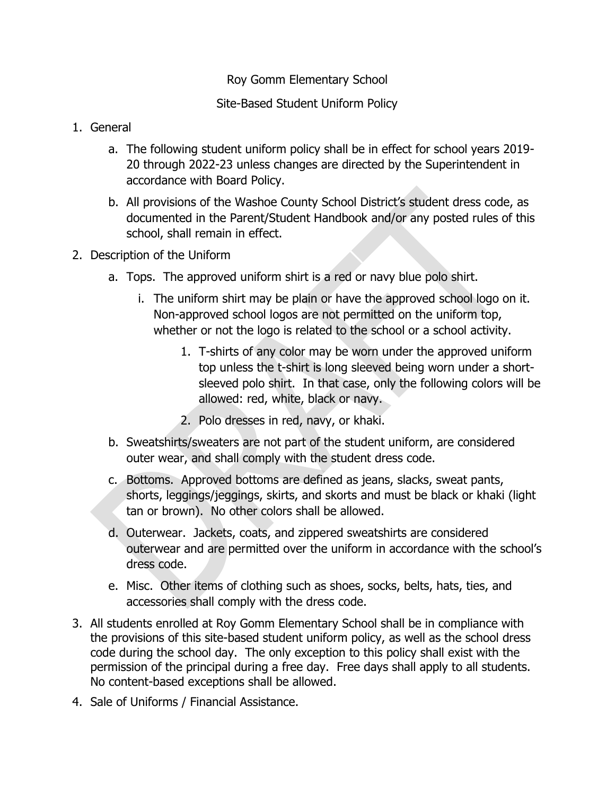## Roy Gomm Elementary School

## Site-Based Student Uniform Policy

- 1. General
	- a. The following student uniform policy shall be in effect for school years 2019- 20 through 2022-23 unless changes are directed by the Superintendent in accordance with Board Policy.
	- b. All provisions of the Washoe County School District's student dress code, as documented in the Parent/Student Handbook and/or any posted rules of this school, shall remain in effect.
- 2. Description of the Uniform
	- a. Tops. The approved uniform shirt is a red or navy blue polo shirt.
		- i. The uniform shirt may be plain or have the approved school logo on it. Non-approved school logos are not permitted on the uniform top, whether or not the logo is related to the school or a school activity.
			- 1. T-shirts of any color may be worn under the approved uniform top unless the t-shirt is long sleeved being worn under a shortsleeved polo shirt. In that case, only the following colors will be allowed: red, white, black or navy.
			- 2. Polo dresses in red, navy, or khaki.
	- b. Sweatshirts/sweaters are not part of the student uniform, are considered outer wear, and shall comply with the student dress code.
	- c. Bottoms. Approved bottoms are defined as jeans, slacks, sweat pants, shorts, leggings/jeggings, skirts, and skorts and must be black or khaki (light tan or brown). No other colors shall be allowed.
	- d. Outerwear. Jackets, coats, and zippered sweatshirts are considered outerwear and are permitted over the uniform in accordance with the school's dress code.
	- e. Misc. Other items of clothing such as shoes, socks, belts, hats, ties, and accessories shall comply with the dress code.
- 3. All students enrolled at Roy Gomm Elementary School shall be in compliance with the provisions of this site-based student uniform policy, as well as the school dress code during the school day. The only exception to this policy shall exist with the permission of the principal during a free day. Free days shall apply to all students. No content-based exceptions shall be allowed.
- 4. Sale of Uniforms / Financial Assistance.